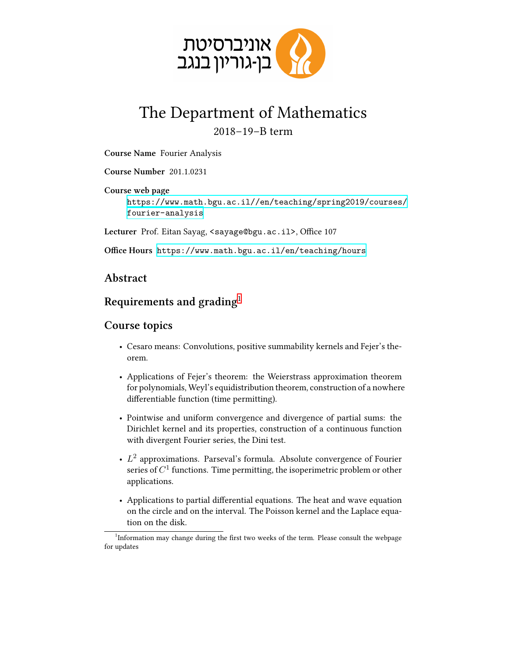

## The Department of Mathematics 2018–19–B term

**Course Name** Fourier Analysis

**Course Number** 201.1.0231

**Course web page** [https://www.math.bgu.ac.il//en/teaching/spring2019/courses/](https://www.math.bgu.ac.il//en/teaching/spring2019/courses/fourier-analysis) [fourier-analysis](https://www.math.bgu.ac.il//en/teaching/spring2019/courses/fourier-analysis)

Lecturer Prof. Eitan Sayag, <sayage@bgu.ac.il>, Office 107

**Office Hours** <https://www.math.bgu.ac.il/en/teaching/hours>

## **Abstract**

## **Requirements and grading**[1](#page-0-0)

## **Course topics**

- Cesaro means: Convolutions, positive summability kernels and Fejer's theorem.
- Applications of Fejer's theorem: the Weierstrass approximation theorem for polynomials, Weyl's equidistribution theorem, construction of a nowhere differentiable function (time permitting).
- Pointwise and uniform convergence and divergence of partial sums: the Dirichlet kernel and its properties, construction of a continuous function with divergent Fourier series, the Dini test.
- *L*<sup>2</sup> approximations. Parseval's formula. Absolute convergence of Fourier series of  $C^1$  functions. Time permitting, the isoperimetric problem or other applications.
- Applications to partial differential equations. The heat and wave equation on the circle and on the interval. The Poisson kernel and the Laplace equation on the disk.

<span id="page-0-0"></span><sup>&</sup>lt;sup>1</sup>Information may change during the first two weeks of the term. Please consult the webpage for updates